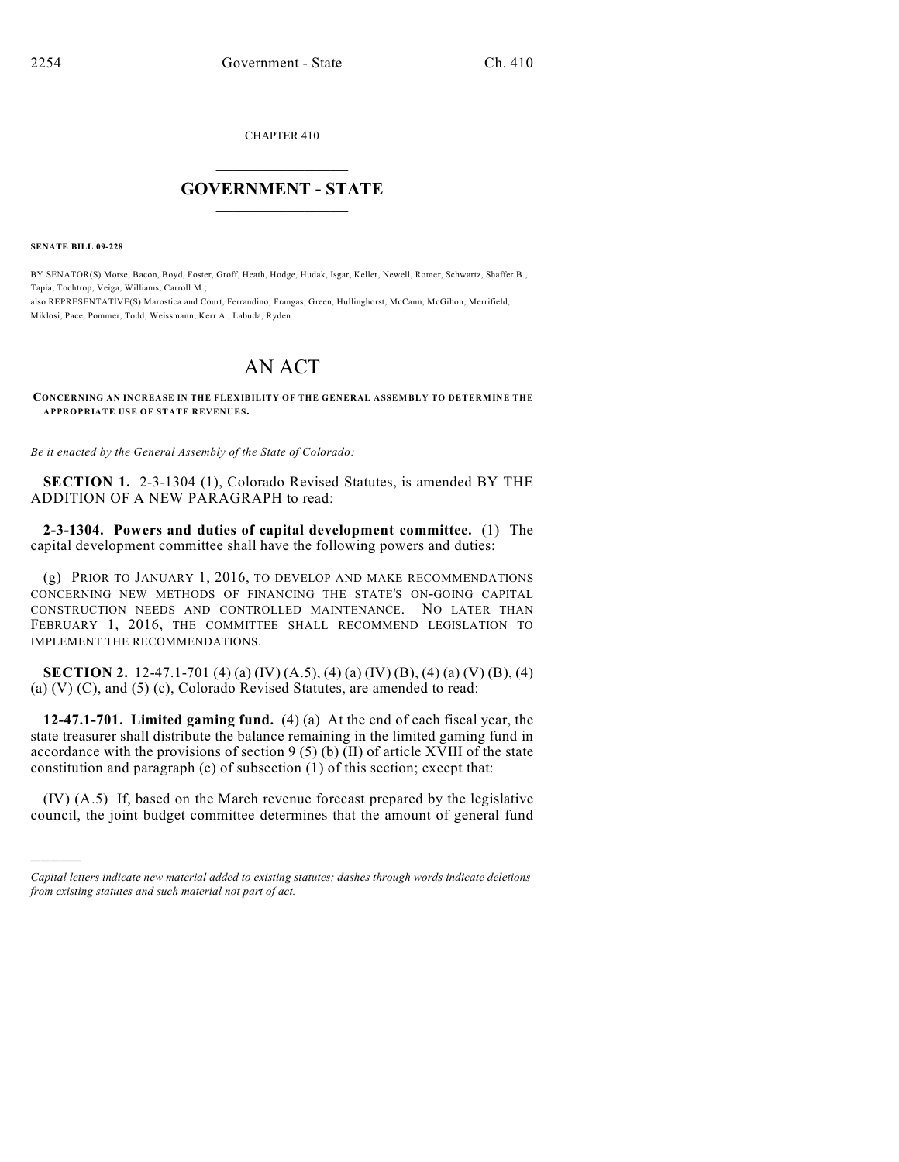CHAPTER 410

# $\overline{\phantom{a}}$  . The set of the set of the set of the set of the set of the set of the set of the set of the set of the set of the set of the set of the set of the set of the set of the set of the set of the set of the set o **GOVERNMENT - STATE**  $\_$   $\_$   $\_$   $\_$   $\_$   $\_$   $\_$   $\_$

**SENATE BILL 09-228**

)))))

BY SENATOR(S) Morse, Bacon, Boyd, Foster, Groff, Heath, Hodge, Hudak, Isgar, Keller, Newell, Romer, Schwartz, Shaffer B., Tapia, Tochtrop, Veiga, Williams, Carroll M.; also REPRESENTATIVE(S) Marostica and Court, Ferrandino, Frangas, Green, Hullinghorst, McCann, McGihon, Merrifield, Miklosi, Pace, Pommer, Todd, Weissmann, Kerr A., Labuda, Ryden.

# AN ACT

**CONCERNING AN INCREASE IN THE FLEXIBILITY OF THE GENERAL ASSEMBLY TO DETERMINE THE APPROPRIATE USE OF STATE REVENUES.**

*Be it enacted by the General Assembly of the State of Colorado:*

**SECTION 1.** 2-3-1304 (1), Colorado Revised Statutes, is amended BY THE ADDITION OF A NEW PARAGRAPH to read:

**2-3-1304. Powers and duties of capital development committee.** (1) The capital development committee shall have the following powers and duties:

(g) PRIOR TO JANUARY 1, 2016, TO DEVELOP AND MAKE RECOMMENDATIONS CONCERNING NEW METHODS OF FINANCING THE STATE'S ON-GOING CAPITAL CONSTRUCTION NEEDS AND CONTROLLED MAINTENANCE. NO LATER THAN FEBRUARY 1, 2016, THE COMMITTEE SHALL RECOMMEND LEGISLATION TO IMPLEMENT THE RECOMMENDATIONS.

**SECTION 2.** 12-47.1-701 (4) (a) (IV) (A.5), (4) (a) (IV) (B), (4) (a) (V) (B), (4) (a)  $(V)$   $(C)$ , and  $(5)$   $(c)$ , Colorado Revised Statutes, are amended to read:

**12-47.1-701. Limited gaming fund.** (4) (a) At the end of each fiscal year, the state treasurer shall distribute the balance remaining in the limited gaming fund in accordance with the provisions of section 9 (5) (b) (II) of article XVIII of the state constitution and paragraph (c) of subsection (1) of this section; except that:

(IV) (A.5) If, based on the March revenue forecast prepared by the legislative council, the joint budget committee determines that the amount of general fund

*Capital letters indicate new material added to existing statutes; dashes through words indicate deletions from existing statutes and such material not part of act.*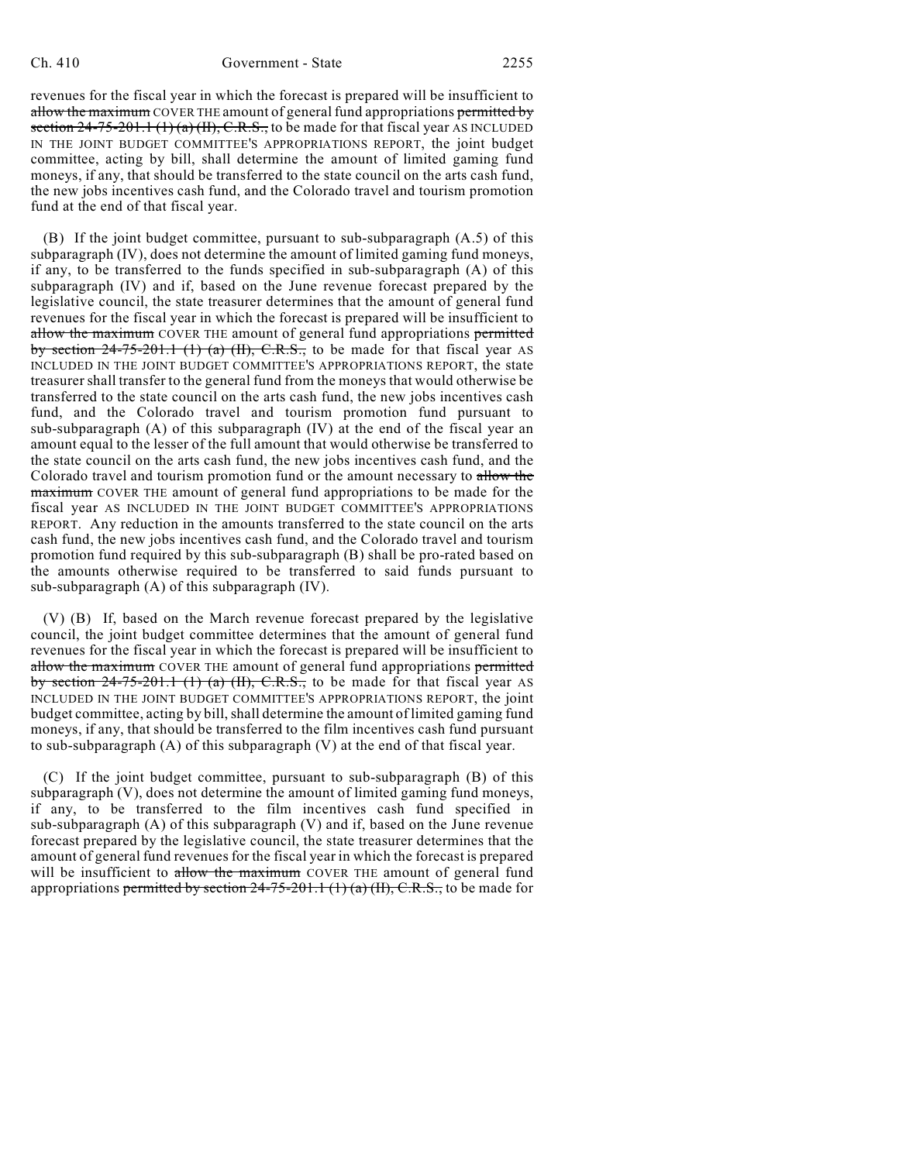revenues for the fiscal year in which the forecast is prepared will be insufficient to allow the maximum COVER THE amount of general fund appropriations permitted by section  $24-75-201.1$  (1) (a) (II), C.R.S., to be made for that fiscal year AS INCLUDED IN THE JOINT BUDGET COMMITTEE'S APPROPRIATIONS REPORT, the joint budget committee, acting by bill, shall determine the amount of limited gaming fund moneys, if any, that should be transferred to the state council on the arts cash fund, the new jobs incentives cash fund, and the Colorado travel and tourism promotion fund at the end of that fiscal year.

(B) If the joint budget committee, pursuant to sub-subparagraph (A.5) of this subparagraph (IV), does not determine the amount of limited gaming fund moneys, if any, to be transferred to the funds specified in sub-subparagraph (A) of this subparagraph (IV) and if, based on the June revenue forecast prepared by the legislative council, the state treasurer determines that the amount of general fund revenues for the fiscal year in which the forecast is prepared will be insufficient to allow the maximum COVER THE amount of general fund appropriations permitted by section  $24-75-201.1$  (1) (a) (II), C.R.S., to be made for that fiscal year AS INCLUDED IN THE JOINT BUDGET COMMITTEE'S APPROPRIATIONS REPORT, the state treasurer shall transfer to the general fund from the moneys that would otherwise be transferred to the state council on the arts cash fund, the new jobs incentives cash fund, and the Colorado travel and tourism promotion fund pursuant to sub-subparagraph (A) of this subparagraph (IV) at the end of the fiscal year an amount equal to the lesser of the full amount that would otherwise be transferred to the state council on the arts cash fund, the new jobs incentives cash fund, and the Colorado travel and tourism promotion fund or the amount necessary to allow the maximum COVER THE amount of general fund appropriations to be made for the fiscal year AS INCLUDED IN THE JOINT BUDGET COMMITTEE'S APPROPRIATIONS REPORT. Any reduction in the amounts transferred to the state council on the arts cash fund, the new jobs incentives cash fund, and the Colorado travel and tourism promotion fund required by this sub-subparagraph (B) shall be pro-rated based on the amounts otherwise required to be transferred to said funds pursuant to sub-subparagraph (A) of this subparagraph (IV).

(V) (B) If, based on the March revenue forecast prepared by the legislative council, the joint budget committee determines that the amount of general fund revenues for the fiscal year in which the forecast is prepared will be insufficient to allow the maximum COVER THE amount of general fund appropriations permitted by section  $24-75-201.1$  (1) (a) (II), C.R.S., to be made for that fiscal year AS INCLUDED IN THE JOINT BUDGET COMMITTEE'S APPROPRIATIONS REPORT, the joint budget committee, acting by bill, shall determine the amount of limited gaming fund moneys, if any, that should be transferred to the film incentives cash fund pursuant to sub-subparagraph (A) of this subparagraph (V) at the end of that fiscal year.

(C) If the joint budget committee, pursuant to sub-subparagraph (B) of this subparagraph (V), does not determine the amount of limited gaming fund moneys, if any, to be transferred to the film incentives cash fund specified in sub-subparagraph (A) of this subparagraph (V) and if, based on the June revenue forecast prepared by the legislative council, the state treasurer determines that the amount of general fund revenues for the fiscal year in which the forecast is prepared will be insufficient to allow the maximum COVER THE amount of general fund appropriations permitted by section  $24-75-201.1$  (1) (a) (II), C.R.S., to be made for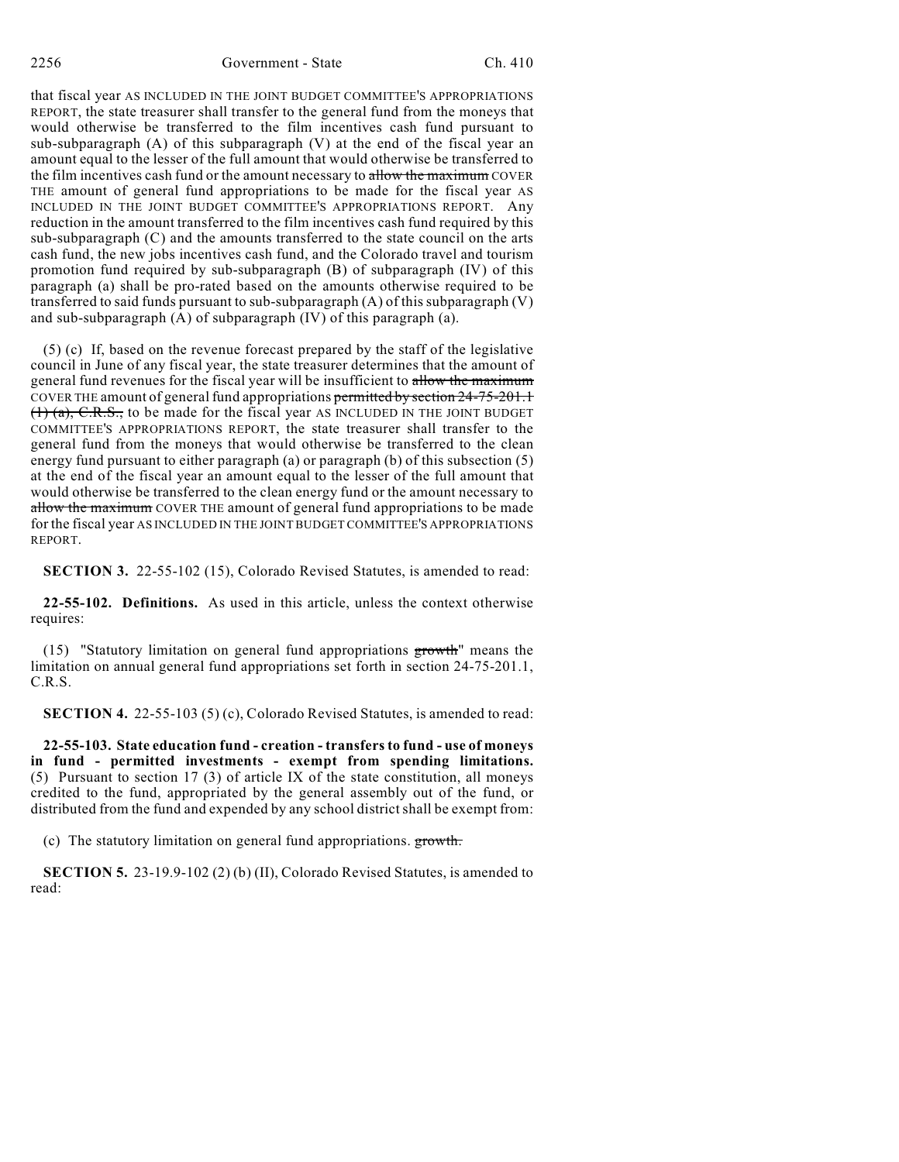that fiscal year AS INCLUDED IN THE JOINT BUDGET COMMITTEE'S APPROPRIATIONS REPORT, the state treasurer shall transfer to the general fund from the moneys that would otherwise be transferred to the film incentives cash fund pursuant to sub-subparagraph (A) of this subparagraph (V) at the end of the fiscal year an amount equal to the lesser of the full amount that would otherwise be transferred to the film incentives cash fund or the amount necessary to allow the maximum COVER THE amount of general fund appropriations to be made for the fiscal year AS INCLUDED IN THE JOINT BUDGET COMMITTEE'S APPROPRIATIONS REPORT. Any reduction in the amount transferred to the film incentives cash fund required by this sub-subparagraph (C) and the amounts transferred to the state council on the arts cash fund, the new jobs incentives cash fund, and the Colorado travel and tourism promotion fund required by sub-subparagraph (B) of subparagraph (IV) of this paragraph (a) shall be pro-rated based on the amounts otherwise required to be transferred to said funds pursuant to sub-subparagraph (A) of this subparagraph (V) and sub-subparagraph (A) of subparagraph (IV) of this paragraph (a).

(5) (c) If, based on the revenue forecast prepared by the staff of the legislative council in June of any fiscal year, the state treasurer determines that the amount of general fund revenues for the fiscal year will be insufficient to allow the maximum COVER THE amount of general fund appropriations permitted by section 24-75-201.1  $(1)$  (a), C.R.S., to be made for the fiscal year AS INCLUDED IN THE JOINT BUDGET COMMITTEE'S APPROPRIATIONS REPORT, the state treasurer shall transfer to the general fund from the moneys that would otherwise be transferred to the clean energy fund pursuant to either paragraph (a) or paragraph (b) of this subsection (5) at the end of the fiscal year an amount equal to the lesser of the full amount that would otherwise be transferred to the clean energy fund or the amount necessary to allow the maximum COVER THE amount of general fund appropriations to be made for the fiscal year AS INCLUDED IN THE JOINT BUDGET COMMITTEE'S APPROPRIATIONS REPORT.

**SECTION 3.** 22-55-102 (15), Colorado Revised Statutes, is amended to read:

**22-55-102. Definitions.** As used in this article, unless the context otherwise requires:

(15) "Statutory limitation on general fund appropriations growth" means the limitation on annual general fund appropriations set forth in section 24-75-201.1, C.R.S.

**SECTION 4.** 22-55-103 (5) (c), Colorado Revised Statutes, is amended to read:

**22-55-103. State education fund - creation - transfers to fund - use of moneys in fund - permitted investments - exempt from spending limitations.** (5) Pursuant to section 17 (3) of article IX of the state constitution, all moneys credited to the fund, appropriated by the general assembly out of the fund, or distributed from the fund and expended by any school district shall be exempt from:

(c) The statutory limitation on general fund appropriations. growth.

**SECTION 5.** 23-19.9-102 (2) (b) (II), Colorado Revised Statutes, is amended to read: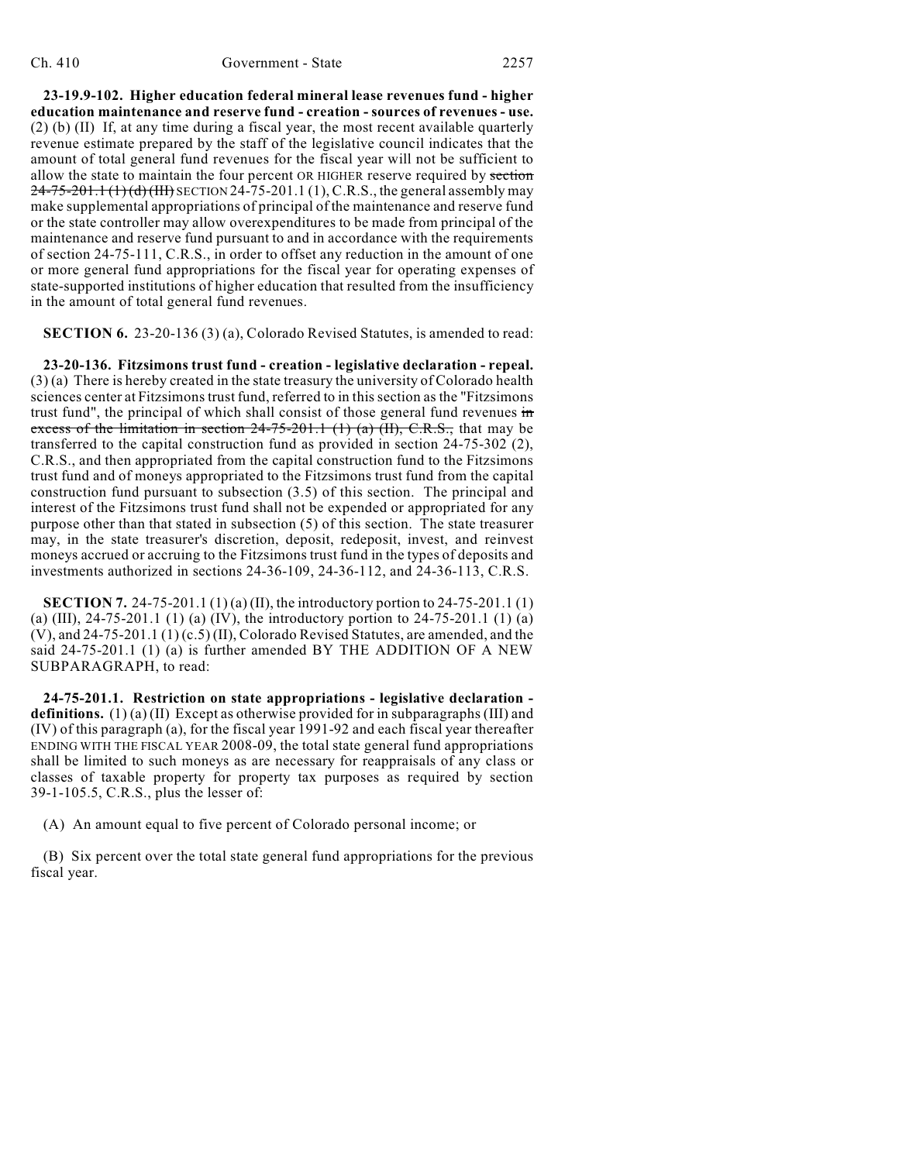**23-19.9-102. Higher education federal mineral lease revenues fund - higher education maintenance and reserve fund - creation - sources of revenues - use.** (2) (b) (II) If, at any time during a fiscal year, the most recent available quarterly revenue estimate prepared by the staff of the legislative council indicates that the amount of total general fund revenues for the fiscal year will not be sufficient to allow the state to maintain the four percent OR HIGHER reserve required by section  $24-75-201.1$  (1) (d) (III) SECTION 24-75-201.1 (1), C.R.S., the general assembly may make supplemental appropriations of principal of the maintenance and reserve fund or the state controller may allow overexpenditures to be made from principal of the maintenance and reserve fund pursuant to and in accordance with the requirements of section 24-75-111, C.R.S., in order to offset any reduction in the amount of one or more general fund appropriations for the fiscal year for operating expenses of state-supported institutions of higher education that resulted from the insufficiency in the amount of total general fund revenues.

**SECTION 6.** 23-20-136 (3) (a), Colorado Revised Statutes, is amended to read:

**23-20-136. Fitzsimons trust fund - creation - legislative declaration - repeal.** (3) (a) There is hereby created in the state treasury the university of Colorado health sciences center at Fitzsimons trust fund, referred to in this section as the "Fitzsimons trust fund", the principal of which shall consist of those general fund revenues in excess of the limitation in section  $24-75-201.1$  (1) (a) (II), C.R.S., that may be transferred to the capital construction fund as provided in section 24-75-302 (2), C.R.S., and then appropriated from the capital construction fund to the Fitzsimons trust fund and of moneys appropriated to the Fitzsimons trust fund from the capital construction fund pursuant to subsection (3.5) of this section. The principal and interest of the Fitzsimons trust fund shall not be expended or appropriated for any purpose other than that stated in subsection (5) of this section. The state treasurer may, in the state treasurer's discretion, deposit, redeposit, invest, and reinvest moneys accrued or accruing to the Fitzsimons trust fund in the types of deposits and investments authorized in sections 24-36-109, 24-36-112, and 24-36-113, C.R.S.

**SECTION 7.** 24-75-201.1 (1) (a) (II), the introductory portion to 24-75-201.1 (1) (a) (III),  $24-75-201.1$  (1) (a) (IV), the introductory portion to  $24-75-201.1$  (1) (a) (V), and 24-75-201.1 (1) (c.5) (II), Colorado Revised Statutes, are amended, and the said 24-75-201.1 (1) (a) is further amended BY THE ADDITION OF A NEW SUBPARAGRAPH, to read:

**24-75-201.1. Restriction on state appropriations - legislative declaration definitions.** (1) (a) (II) Except as otherwise provided for in subparagraphs (III) and (IV) of this paragraph (a), for the fiscal year 1991-92 and each fiscal year thereafter ENDING WITH THE FISCAL YEAR 2008-09, the total state general fund appropriations shall be limited to such moneys as are necessary for reappraisals of any class or classes of taxable property for property tax purposes as required by section 39-1-105.5, C.R.S., plus the lesser of:

(A) An amount equal to five percent of Colorado personal income; or

(B) Six percent over the total state general fund appropriations for the previous fiscal year.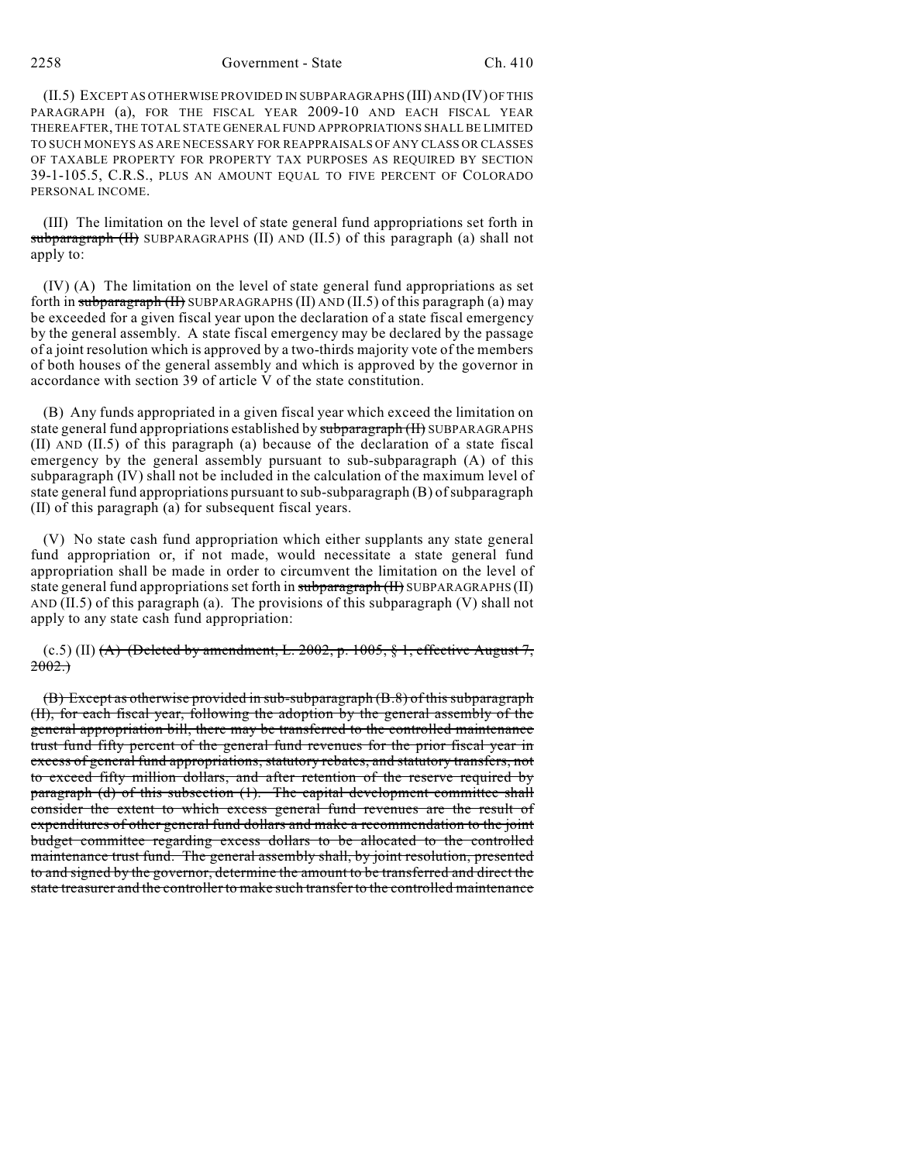# 2258 Government - State Ch. 410

(II.5) EXCEPT AS OTHERWISE PROVIDED IN SUBPARAGRAPHS (III) AND (IV) OF THIS PARAGRAPH (a), FOR THE FISCAL YEAR 2009-10 AND EACH FISCAL YEAR THEREAFTER, THE TOTAL STATE GENERAL FUND APPROPRIATIONS SHALL BE LIMITED TO SUCH MONEYS AS ARE NECESSARY FOR REAPPRAISALS OF ANY CLASS OR CLASSES OF TAXABLE PROPERTY FOR PROPERTY TAX PURPOSES AS REQUIRED BY SECTION 39-1-105.5, C.R.S., PLUS AN AMOUNT EQUAL TO FIVE PERCENT OF COLORADO PERSONAL INCOME.

(III) The limitation on the level of state general fund appropriations set forth in subparagraph (II) SUBPARAGRAPHS (II) AND (II.5) of this paragraph (a) shall not apply to:

(IV) (A) The limitation on the level of state general fund appropriations as set forth in subparagraph (II) SUBPARAGRAPHS (II) AND (II.5) of this paragraph (a) may be exceeded for a given fiscal year upon the declaration of a state fiscal emergency by the general assembly. A state fiscal emergency may be declared by the passage of a joint resolution which is approved by a two-thirds majority vote of the members of both houses of the general assembly and which is approved by the governor in accordance with section 39 of article V of the state constitution.

(B) Any funds appropriated in a given fiscal year which exceed the limitation on state general fund appropriations established by subparagraph (II) SUBPARAGRAPHS (II) AND (II.5) of this paragraph (a) because of the declaration of a state fiscal emergency by the general assembly pursuant to sub-subparagraph (A) of this subparagraph (IV) shall not be included in the calculation of the maximum level of state general fund appropriations pursuant to sub-subparagraph (B) of subparagraph (II) of this paragraph (a) for subsequent fiscal years.

(V) No state cash fund appropriation which either supplants any state general fund appropriation or, if not made, would necessitate a state general fund appropriation shall be made in order to circumvent the limitation on the level of state general fund appropriations set forth in subparagraph (II) SUBPARAGRAPHS (II) AND (II.5) of this paragraph (a). The provisions of this subparagraph (V) shall not apply to any state cash fund appropriation:

(c.5) (II)  $(A)$  (Deleted by amendment, L. 2002, p. 1005, § 1, effective August 7,  $2002.$ 

(B) Except as otherwise provided in sub-subparagraph (B.8) of this subparagraph (II), for each fiscal year, following the adoption by the general assembly of the general appropriation bill, there may be transferred to the controlled maintenance trust fund fifty percent of the general fund revenues for the prior fiscal year in excess of general fund appropriations, statutory rebates, and statutory transfers, not to exceed fifty million dollars, and after retention of the reserve required by paragraph (d) of this subsection (1). The capital development committee shall consider the extent to which excess general fund revenues are the result of expenditures of other general fund dollars and make a recommendation to the joint budget committee regarding excess dollars to be allocated to the controlled maintenance trust fund. The general assembly shall, by joint resolution, presented to and signed by the governor, determine the amount to be transferred and direct the state treasurer and the controller to make such transfer to the controlled maintenance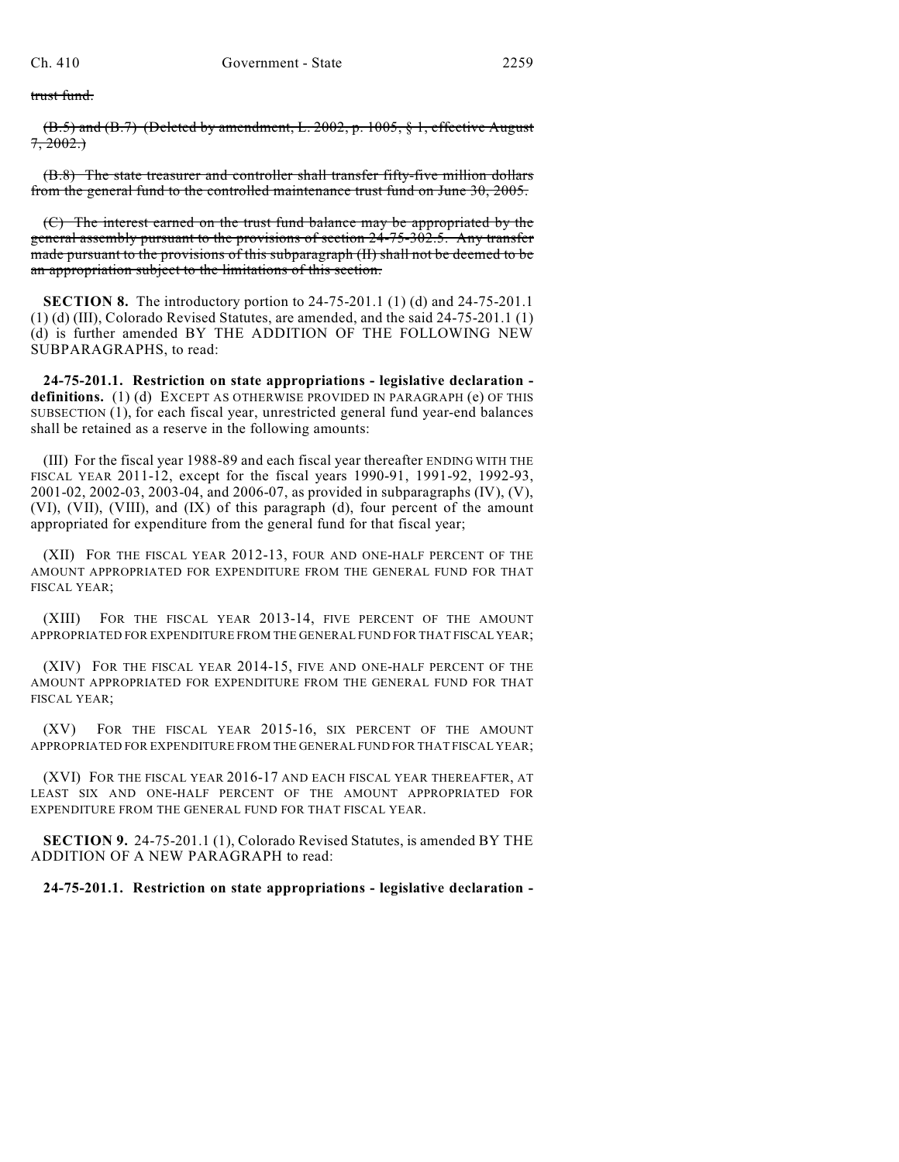trust fund.

(B.5) and (B.7) (Deleted by amendment, L. 2002, p. 1005, § 1, effective August  $7, 2002.$ 

(B.8) The state treasurer and controller shall transfer fifty-five million dollars from the general fund to the controlled maintenance trust fund on June 30, 2005.

(C) The interest earned on the trust fund balance may be appropriated by the general assembly pursuant to the provisions of section 24-75-302.5. Any transfer made pursuant to the provisions of this subparagraph (II) shall not be deemed to be an appropriation subject to the limitations of this section.

**SECTION 8.** The introductory portion to 24-75-201.1 (1) (d) and 24-75-201.1 (1) (d) (III), Colorado Revised Statutes, are amended, and the said 24-75-201.1 (1) (d) is further amended BY THE ADDITION OF THE FOLLOWING NEW SUBPARAGRAPHS, to read:

**24-75-201.1. Restriction on state appropriations - legislative declaration definitions.** (1) (d) EXCEPT AS OTHERWISE PROVIDED IN PARAGRAPH (e) OF THIS SUBSECTION (1), for each fiscal year, unrestricted general fund year-end balances shall be retained as a reserve in the following amounts:

(III) For the fiscal year 1988-89 and each fiscal year thereafter ENDING WITH THE FISCAL YEAR 2011-12, except for the fiscal years 1990-91, 1991-92, 1992-93, 2001-02, 2002-03, 2003-04, and 2006-07, as provided in subparagraphs (IV), (V), (VI), (VII), (VIII), and (IX) of this paragraph (d), four percent of the amount appropriated for expenditure from the general fund for that fiscal year;

(XII) FOR THE FISCAL YEAR 2012-13, FOUR AND ONE-HALF PERCENT OF THE AMOUNT APPROPRIATED FOR EXPENDITURE FROM THE GENERAL FUND FOR THAT FISCAL YEAR;

(XIII) FOR THE FISCAL YEAR 2013-14, FIVE PERCENT OF THE AMOUNT APPROPRIATED FOR EXPENDITURE FROM THE GENERAL FUND FOR THAT FISCAL YEAR;

(XIV) FOR THE FISCAL YEAR 2014-15, FIVE AND ONE-HALF PERCENT OF THE AMOUNT APPROPRIATED FOR EXPENDITURE FROM THE GENERAL FUND FOR THAT FISCAL YEAR;

(XV) FOR THE FISCAL YEAR 2015-16, SIX PERCENT OF THE AMOUNT APPROPRIATED FOR EXPENDITURE FROM THE GENERAL FUND FOR THAT FISCAL YEAR;

(XVI) FOR THE FISCAL YEAR 2016-17 AND EACH FISCAL YEAR THEREAFTER, AT LEAST SIX AND ONE-HALF PERCENT OF THE AMOUNT APPROPRIATED FOR EXPENDITURE FROM THE GENERAL FUND FOR THAT FISCAL YEAR.

**SECTION 9.** 24-75-201.1 (1), Colorado Revised Statutes, is amended BY THE ADDITION OF A NEW PARAGRAPH to read:

**24-75-201.1. Restriction on state appropriations - legislative declaration -**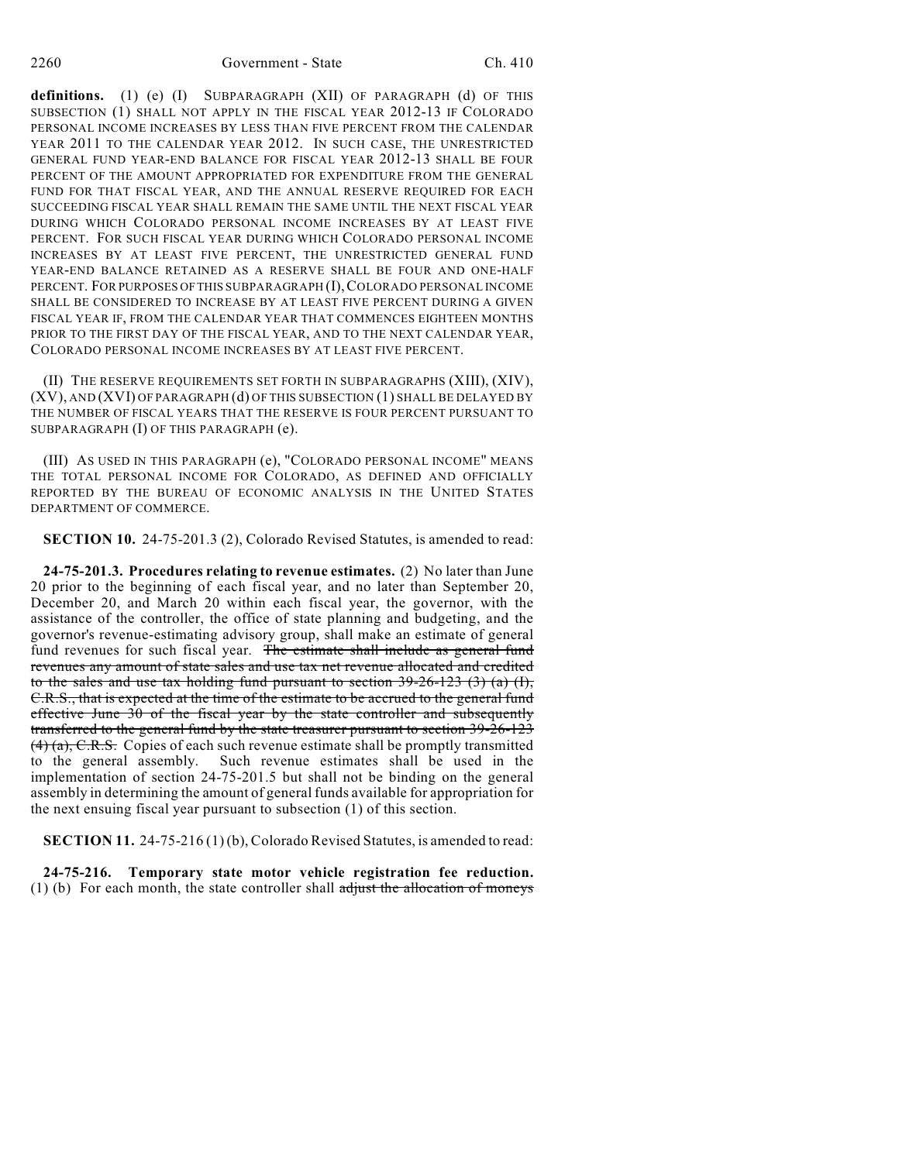definitions. (1) (e) (I) SUBPARAGRAPH (XII) OF PARAGRAPH (d) OF THIS SUBSECTION (1) SHALL NOT APPLY IN THE FISCAL YEAR 2012-13 IF COLORADO PERSONAL INCOME INCREASES BY LESS THAN FIVE PERCENT FROM THE CALENDAR YEAR 2011 TO THE CALENDAR YEAR 2012. IN SUCH CASE, THE UNRESTRICTED GENERAL FUND YEAR-END BALANCE FOR FISCAL YEAR 2012-13 SHALL BE FOUR PERCENT OF THE AMOUNT APPROPRIATED FOR EXPENDITURE FROM THE GENERAL FUND FOR THAT FISCAL YEAR, AND THE ANNUAL RESERVE REQUIRED FOR EACH SUCCEEDING FISCAL YEAR SHALL REMAIN THE SAME UNTIL THE NEXT FISCAL YEAR DURING WHICH COLORADO PERSONAL INCOME INCREASES BY AT LEAST FIVE PERCENT. FOR SUCH FISCAL YEAR DURING WHICH COLORADO PERSONAL INCOME INCREASES BY AT LEAST FIVE PERCENT, THE UNRESTRICTED GENERAL FUND YEAR-END BALANCE RETAINED AS A RESERVE SHALL BE FOUR AND ONE-HALF PERCENT. FOR PURPOSES OF THIS SUBPARAGRAPH (I),COLORADO PERSONAL INCOME SHALL BE CONSIDERED TO INCREASE BY AT LEAST FIVE PERCENT DURING A GIVEN FISCAL YEAR IF, FROM THE CALENDAR YEAR THAT COMMENCES EIGHTEEN MONTHS PRIOR TO THE FIRST DAY OF THE FISCAL YEAR, AND TO THE NEXT CALENDAR YEAR, COLORADO PERSONAL INCOME INCREASES BY AT LEAST FIVE PERCENT.

(II) THE RESERVE REQUIREMENTS SET FORTH IN SUBPARAGRAPHS (XIII), (XIV), (XV), AND (XVI) OF PARAGRAPH (d) OF THIS SUBSECTION (1) SHALL BE DELAYED BY THE NUMBER OF FISCAL YEARS THAT THE RESERVE IS FOUR PERCENT PURSUANT TO SUBPARAGRAPH (I) OF THIS PARAGRAPH (e).

(III) AS USED IN THIS PARAGRAPH (e), "COLORADO PERSONAL INCOME" MEANS THE TOTAL PERSONAL INCOME FOR COLORADO, AS DEFINED AND OFFICIALLY REPORTED BY THE BUREAU OF ECONOMIC ANALYSIS IN THE UNITED STATES DEPARTMENT OF COMMERCE.

**SECTION 10.** 24-75-201.3 (2), Colorado Revised Statutes, is amended to read:

**24-75-201.3. Procedures relating to revenue estimates.** (2) No later than June 20 prior to the beginning of each fiscal year, and no later than September 20, December 20, and March 20 within each fiscal year, the governor, with the assistance of the controller, the office of state planning and budgeting, and the governor's revenue-estimating advisory group, shall make an estimate of general fund revenues for such fiscal year. The estimate shall include as general fund revenues any amount of state sales and use tax net revenue allocated and credited to the sales and use tax holding fund pursuant to section  $39-26-123$  (3) (a) (I), C.R.S., that is expected at the time of the estimate to be accrued to the general fund effective June 30 of the fiscal year by the state controller and subsequently transferred to the general fund by the state treasurer pursuant to section 39-26-123  $(4)$  (a), C.R.S. Copies of each such revenue estimate shall be promptly transmitted to the general assembly. Such revenue estimates shall be used in the implementation of section 24-75-201.5 but shall not be binding on the general assembly in determining the amount of general funds available for appropriation for the next ensuing fiscal year pursuant to subsection (1) of this section.

**SECTION 11.** 24-75-216 (1) (b), Colorado Revised Statutes, is amended to read:

**24-75-216. Temporary state motor vehicle registration fee reduction.** (1) (b) For each month, the state controller shall  $\frac{1}{\text{adjust}}$  the allocation of moneys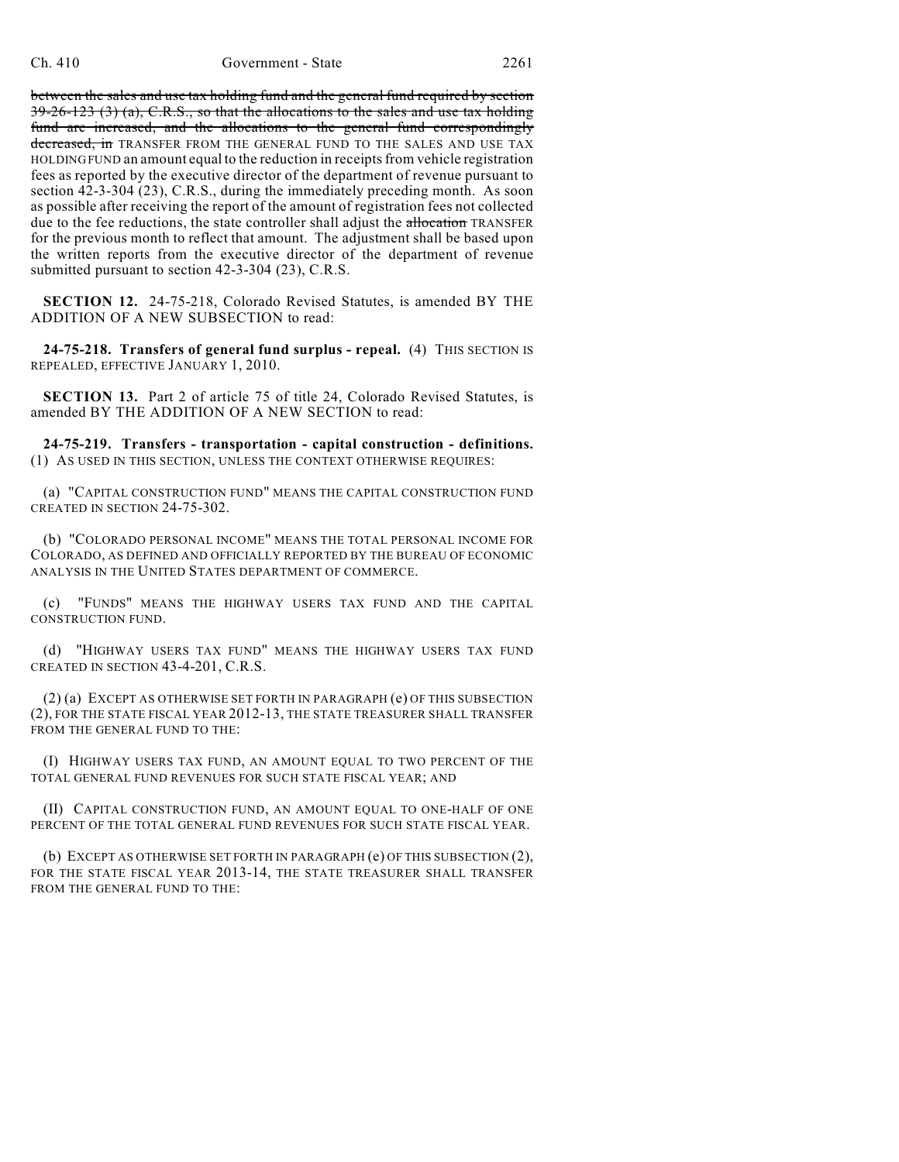between the sales and use tax holding fund and the general fund required by section  $39-26-123$  (3) (a), C.R.S., so that the allocations to the sales and use tax holding fund are increased, and the allocations to the general fund correspondingly decreased, in TRANSFER FROM THE GENERAL FUND TO THE SALES AND USE TAX HOLDING FUND an amount equal to the reduction in receipts from vehicle registration fees as reported by the executive director of the department of revenue pursuant to section 42-3-304 (23), C.R.S., during the immediately preceding month. As soon as possible after receiving the report of the amount of registration fees not collected due to the fee reductions, the state controller shall adjust the allocation TRANSFER for the previous month to reflect that amount. The adjustment shall be based upon the written reports from the executive director of the department of revenue submitted pursuant to section 42-3-304 (23), C.R.S.

**SECTION 12.** 24-75-218, Colorado Revised Statutes, is amended BY THE ADDITION OF A NEW SUBSECTION to read:

**24-75-218. Transfers of general fund surplus - repeal.** (4) THIS SECTION IS REPEALED, EFFECTIVE JANUARY 1, 2010.

**SECTION 13.** Part 2 of article 75 of title 24, Colorado Revised Statutes, is amended BY THE ADDITION OF A NEW SECTION to read:

**24-75-219. Transfers - transportation - capital construction - definitions.** (1) AS USED IN THIS SECTION, UNLESS THE CONTEXT OTHERWISE REQUIRES:

(a) "CAPITAL CONSTRUCTION FUND" MEANS THE CAPITAL CONSTRUCTION FUND CREATED IN SECTION 24-75-302.

(b) "COLORADO PERSONAL INCOME" MEANS THE TOTAL PERSONAL INCOME FOR COLORADO, AS DEFINED AND OFFICIALLY REPORTED BY THE BUREAU OF ECONOMIC ANALYSIS IN THE UNITED STATES DEPARTMENT OF COMMERCE.

(c) "FUNDS" MEANS THE HIGHWAY USERS TAX FUND AND THE CAPITAL CONSTRUCTION FUND.

(d) "HIGHWAY USERS TAX FUND" MEANS THE HIGHWAY USERS TAX FUND CREATED IN SECTION 43-4-201, C.R.S.

(2) (a) EXCEPT AS OTHERWISE SET FORTH IN PARAGRAPH (e) OF THIS SUBSECTION (2), FOR THE STATE FISCAL YEAR 2012-13, THE STATE TREASURER SHALL TRANSFER FROM THE GENERAL FUND TO THE:

(I) HIGHWAY USERS TAX FUND, AN AMOUNT EQUAL TO TWO PERCENT OF THE TOTAL GENERAL FUND REVENUES FOR SUCH STATE FISCAL YEAR; AND

(II) CAPITAL CONSTRUCTION FUND, AN AMOUNT EQUAL TO ONE-HALF OF ONE PERCENT OF THE TOTAL GENERAL FUND REVENUES FOR SUCH STATE FISCAL YEAR.

(b) EXCEPT AS OTHERWISE SET FORTH IN PARAGRAPH (e) OF THIS SUBSECTION (2), FOR THE STATE FISCAL YEAR 2013-14, THE STATE TREASURER SHALL TRANSFER FROM THE GENERAL FUND TO THE: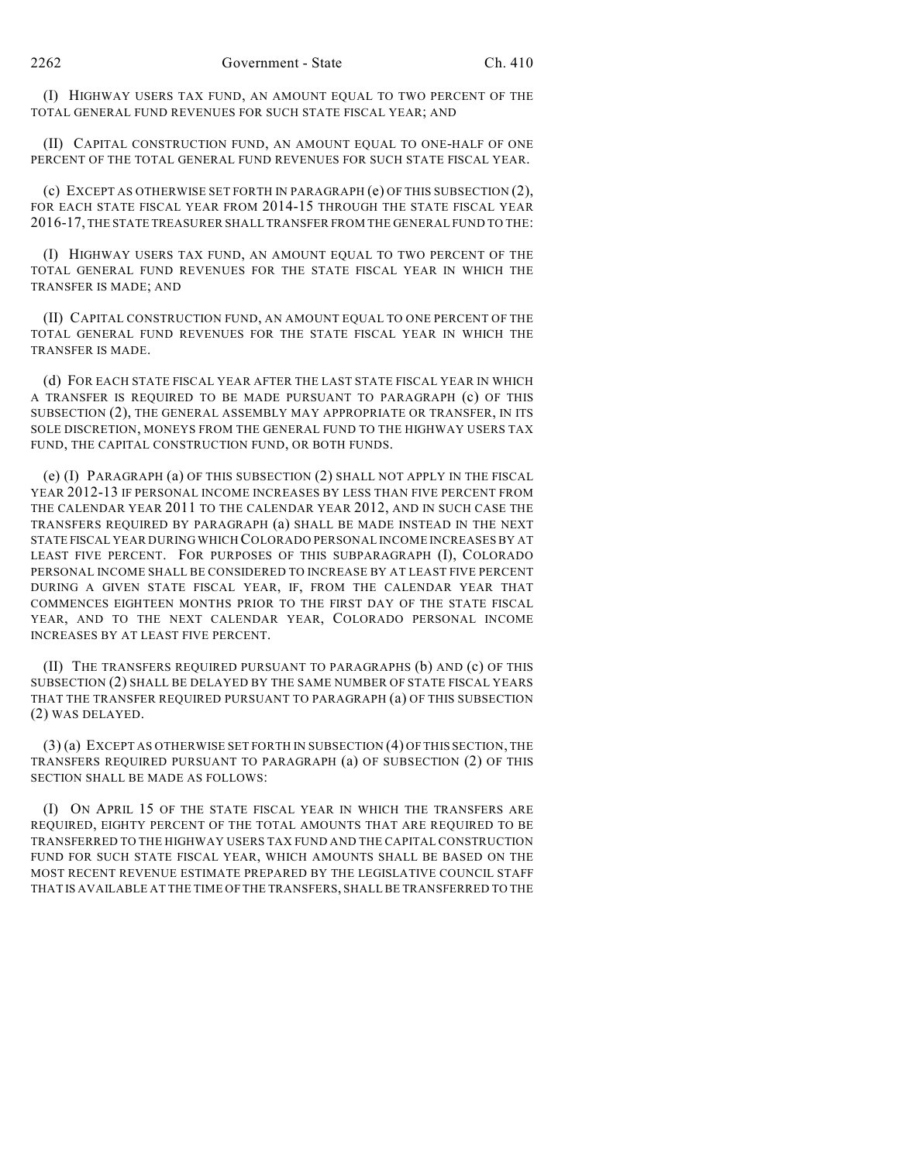(I) HIGHWAY USERS TAX FUND, AN AMOUNT EQUAL TO TWO PERCENT OF THE TOTAL GENERAL FUND REVENUES FOR SUCH STATE FISCAL YEAR; AND

(II) CAPITAL CONSTRUCTION FUND, AN AMOUNT EQUAL TO ONE-HALF OF ONE PERCENT OF THE TOTAL GENERAL FUND REVENUES FOR SUCH STATE FISCAL YEAR.

(c) EXCEPT AS OTHERWISE SET FORTH IN PARAGRAPH (e) OF THIS SUBSECTION (2), FOR EACH STATE FISCAL YEAR FROM 2014-15 THROUGH THE STATE FISCAL YEAR 2016-17, THE STATE TREASURER SHALL TRANSFER FROM THE GENERAL FUND TO THE:

(I) HIGHWAY USERS TAX FUND, AN AMOUNT EQUAL TO TWO PERCENT OF THE TOTAL GENERAL FUND REVENUES FOR THE STATE FISCAL YEAR IN WHICH THE TRANSFER IS MADE; AND

(II) CAPITAL CONSTRUCTION FUND, AN AMOUNT EQUAL TO ONE PERCENT OF THE TOTAL GENERAL FUND REVENUES FOR THE STATE FISCAL YEAR IN WHICH THE TRANSFER IS MADE.

(d) FOR EACH STATE FISCAL YEAR AFTER THE LAST STATE FISCAL YEAR IN WHICH A TRANSFER IS REQUIRED TO BE MADE PURSUANT TO PARAGRAPH (c) OF THIS SUBSECTION (2), THE GENERAL ASSEMBLY MAY APPROPRIATE OR TRANSFER, IN ITS SOLE DISCRETION, MONEYS FROM THE GENERAL FUND TO THE HIGHWAY USERS TAX FUND, THE CAPITAL CONSTRUCTION FUND, OR BOTH FUNDS.

(e) (I) PARAGRAPH (a) OF THIS SUBSECTION (2) SHALL NOT APPLY IN THE FISCAL YEAR 2012-13 IF PERSONAL INCOME INCREASES BY LESS THAN FIVE PERCENT FROM THE CALENDAR YEAR 2011 TO THE CALENDAR YEAR 2012, AND IN SUCH CASE THE TRANSFERS REQUIRED BY PARAGRAPH (a) SHALL BE MADE INSTEAD IN THE NEXT STATE FISCAL YEAR DURING WHICH COLORADO PERSONAL INCOME INCREASES BY AT LEAST FIVE PERCENT. FOR PURPOSES OF THIS SUBPARAGRAPH (I), COLORADO PERSONAL INCOME SHALL BE CONSIDERED TO INCREASE BY AT LEAST FIVE PERCENT DURING A GIVEN STATE FISCAL YEAR, IF, FROM THE CALENDAR YEAR THAT COMMENCES EIGHTEEN MONTHS PRIOR TO THE FIRST DAY OF THE STATE FISCAL YEAR, AND TO THE NEXT CALENDAR YEAR, COLORADO PERSONAL INCOME INCREASES BY AT LEAST FIVE PERCENT.

(II) THE TRANSFERS REQUIRED PURSUANT TO PARAGRAPHS (b) AND (c) OF THIS SUBSECTION (2) SHALL BE DELAYED BY THE SAME NUMBER OF STATE FISCAL YEARS THAT THE TRANSFER REQUIRED PURSUANT TO PARAGRAPH (a) OF THIS SUBSECTION (2) WAS DELAYED.

(3) (a) EXCEPT AS OTHERWISE SET FORTH IN SUBSECTION (4) OF THIS SECTION, THE TRANSFERS REQUIRED PURSUANT TO PARAGRAPH (a) OF SUBSECTION (2) OF THIS SECTION SHALL BE MADE AS FOLLOWS:

(I) ON APRIL 15 OF THE STATE FISCAL YEAR IN WHICH THE TRANSFERS ARE REQUIRED, EIGHTY PERCENT OF THE TOTAL AMOUNTS THAT ARE REQUIRED TO BE TRANSFERRED TO THE HIGHWAY USERS TAX FUND AND THE CAPITAL CONSTRUCTION FUND FOR SUCH STATE FISCAL YEAR, WHICH AMOUNTS SHALL BE BASED ON THE MOST RECENT REVENUE ESTIMATE PREPARED BY THE LEGISLATIVE COUNCIL STAFF THAT IS AVAILABLE AT THE TIME OF THE TRANSFERS, SHALL BE TRANSFERRED TO THE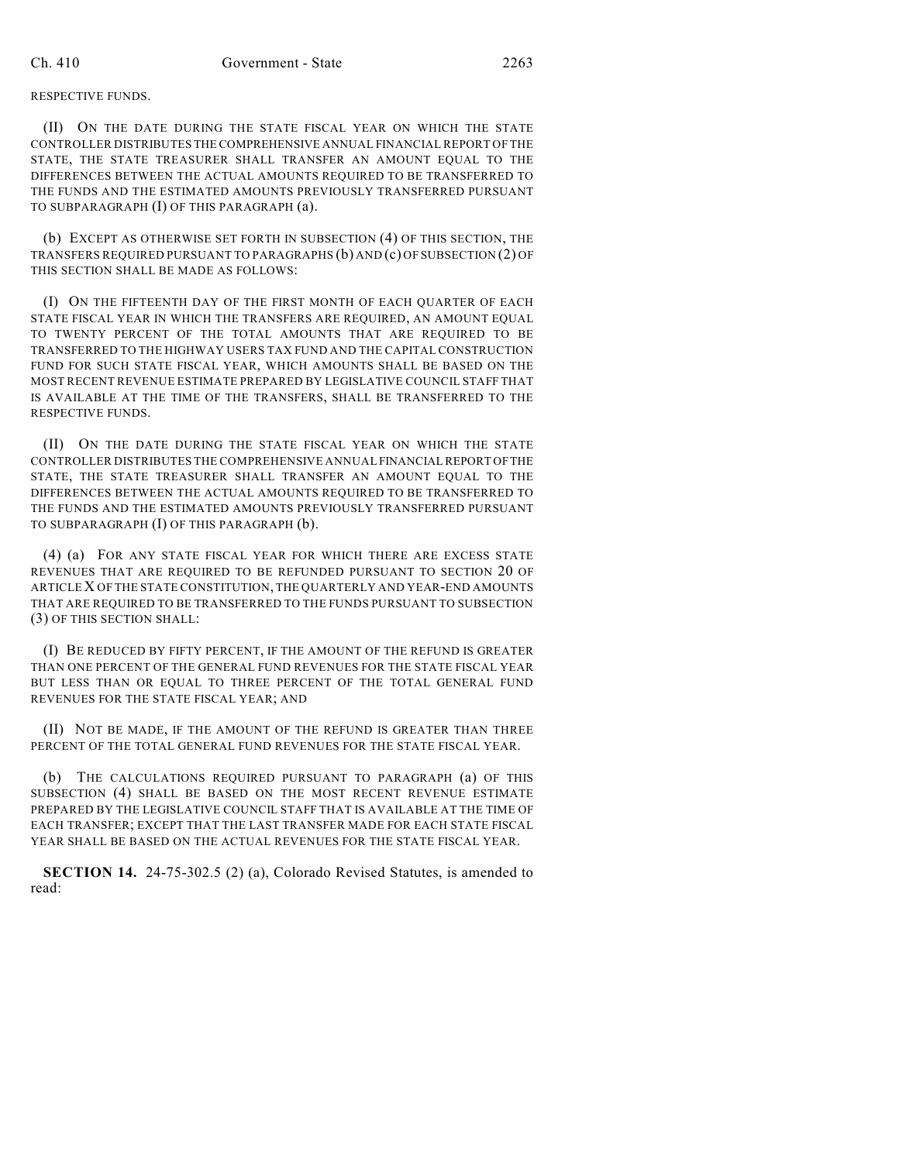## RESPECTIVE FUNDS.

(II) ON THE DATE DURING THE STATE FISCAL YEAR ON WHICH THE STATE CONTROLLER DISTRIBUTES THE COMPREHENSIVE ANNUAL FINANCIAL REPORT OF THE STATE, THE STATE TREASURER SHALL TRANSFER AN AMOUNT EQUAL TO THE DIFFERENCES BETWEEN THE ACTUAL AMOUNTS REQUIRED TO BE TRANSFERRED TO THE FUNDS AND THE ESTIMATED AMOUNTS PREVIOUSLY TRANSFERRED PURSUANT TO SUBPARAGRAPH (I) OF THIS PARAGRAPH (a).

(b) EXCEPT AS OTHERWISE SET FORTH IN SUBSECTION (4) OF THIS SECTION, THE TRANSFERS REQUIRED PURSUANT TO PARAGRAPHS (b) AND (c) OF SUBSECTION (2) OF THIS SECTION SHALL BE MADE AS FOLLOWS:

(I) ON THE FIFTEENTH DAY OF THE FIRST MONTH OF EACH QUARTER OF EACH STATE FISCAL YEAR IN WHICH THE TRANSFERS ARE REQUIRED, AN AMOUNT EQUAL TO TWENTY PERCENT OF THE TOTAL AMOUNTS THAT ARE REQUIRED TO BE TRANSFERRED TO THE HIGHWAY USERS TAX FUND AND THE CAPITAL CONSTRUCTION FUND FOR SUCH STATE FISCAL YEAR, WHICH AMOUNTS SHALL BE BASED ON THE MOST RECENT REVENUE ESTIMATE PREPARED BY LEGISLATIVE COUNCIL STAFF THAT IS AVAILABLE AT THE TIME OF THE TRANSFERS, SHALL BE TRANSFERRED TO THE RESPECTIVE FUNDS.

(II) ON THE DATE DURING THE STATE FISCAL YEAR ON WHICH THE STATE CONTROLLER DISTRIBUTES THE COMPREHENSIVE ANNUAL FINANCIAL REPORT OF THE STATE, THE STATE TREASURER SHALL TRANSFER AN AMOUNT EQUAL TO THE DIFFERENCES BETWEEN THE ACTUAL AMOUNTS REQUIRED TO BE TRANSFERRED TO THE FUNDS AND THE ESTIMATED AMOUNTS PREVIOUSLY TRANSFERRED PURSUANT TO SUBPARAGRAPH (I) OF THIS PARAGRAPH (b).

(4) (a) FOR ANY STATE FISCAL YEAR FOR WHICH THERE ARE EXCESS STATE REVENUES THAT ARE REQUIRED TO BE REFUNDED PURSUANT TO SECTION 20 OF ARTICLE X OF THE STATE CONSTITUTION, THE QUARTERLY AND YEAR-END AMOUNTS THAT ARE REQUIRED TO BE TRANSFERRED TO THE FUNDS PURSUANT TO SUBSECTION (3) OF THIS SECTION SHALL:

(I) BE REDUCED BY FIFTY PERCENT, IF THE AMOUNT OF THE REFUND IS GREATER THAN ONE PERCENT OF THE GENERAL FUND REVENUES FOR THE STATE FISCAL YEAR BUT LESS THAN OR EQUAL TO THREE PERCENT OF THE TOTAL GENERAL FUND REVENUES FOR THE STATE FISCAL YEAR; AND

(II) NOT BE MADE, IF THE AMOUNT OF THE REFUND IS GREATER THAN THREE PERCENT OF THE TOTAL GENERAL FUND REVENUES FOR THE STATE FISCAL YEAR.

(b) THE CALCULATIONS REQUIRED PURSUANT TO PARAGRAPH (a) OF THIS SUBSECTION (4) SHALL BE BASED ON THE MOST RECENT REVENUE ESTIMATE PREPARED BY THE LEGISLATIVE COUNCIL STAFF THAT IS AVAILABLE AT THE TIME OF EACH TRANSFER; EXCEPT THAT THE LAST TRANSFER MADE FOR EACH STATE FISCAL YEAR SHALL BE BASED ON THE ACTUAL REVENUES FOR THE STATE FISCAL YEAR.

**SECTION 14.** 24-75-302.5 (2) (a), Colorado Revised Statutes, is amended to read: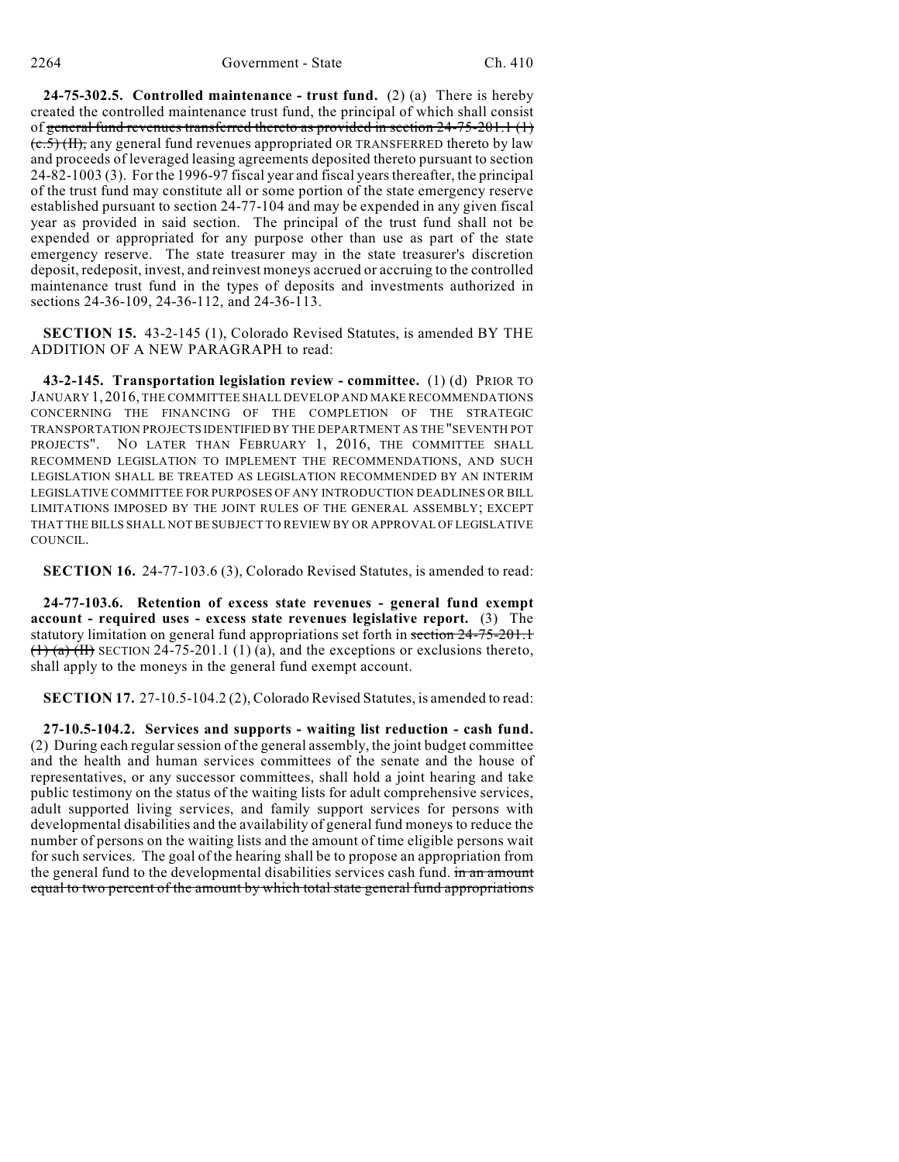**24-75-302.5. Controlled maintenance - trust fund.** (2) (a) There is hereby created the controlled maintenance trust fund, the principal of which shall consist of general fund revenues transferred thereto as provided in section 24-75-201.1 (1)  $(e.5)$  (II), any general fund revenues appropriated OR TRANSFERRED thereto by law and proceeds of leveraged leasing agreements deposited thereto pursuant to section 24-82-1003 (3). For the 1996-97 fiscal year and fiscal years thereafter, the principal of the trust fund may constitute all or some portion of the state emergency reserve established pursuant to section 24-77-104 and may be expended in any given fiscal year as provided in said section. The principal of the trust fund shall not be expended or appropriated for any purpose other than use as part of the state emergency reserve. The state treasurer may in the state treasurer's discretion deposit, redeposit, invest, and reinvest moneys accrued or accruing to the controlled maintenance trust fund in the types of deposits and investments authorized in sections 24-36-109, 24-36-112, and 24-36-113.

**SECTION 15.** 43-2-145 (1), Colorado Revised Statutes, is amended BY THE ADDITION OF A NEW PARAGRAPH to read:

**43-2-145. Transportation legislation review - committee.** (1) (d) PRIOR TO JANUARY 1, 2016, THE COMMITTEE SHALL DEVELOP AND MAKE RECOMMENDATIONS CONCERNING THE FINANCING OF THE COMPLETION OF THE STRATEGIC TRANSPORTATION PROJECTS IDENTIFIED BY THE DEPARTMENT AS THE "SEVENTH POT PROJECTS". NO LATER THAN FEBRUARY 1, 2016, THE COMMITTEE SHALL RECOMMEND LEGISLATION TO IMPLEMENT THE RECOMMENDATIONS, AND SUCH LEGISLATION SHALL BE TREATED AS LEGISLATION RECOMMENDED BY AN INTERIM LEGISLATIVE COMMITTEE FOR PURPOSES OF ANY INTRODUCTION DEADLINES OR BILL LIMITATIONS IMPOSED BY THE JOINT RULES OF THE GENERAL ASSEMBLY; EXCEPT THAT THE BILLS SHALL NOT BE SUBJECT TO REVIEW BY OR APPROVAL OF LEGISLATIVE COUNCIL.

**SECTION 16.** 24-77-103.6 (3), Colorado Revised Statutes, is amended to read:

**24-77-103.6. Retention of excess state revenues - general fund exempt account - required uses - excess state revenues legislative report.** (3) The statutory limitation on general fund appropriations set forth in section 24-75-201.1  $(1)$  (a) (H) SECTION 24-75-201.1 (1) (a), and the exceptions or exclusions thereto, shall apply to the moneys in the general fund exempt account.

**SECTION 17.** 27-10.5-104.2 (2), Colorado Revised Statutes, is amended to read:

**27-10.5-104.2. Services and supports - waiting list reduction - cash fund.** (2) During each regularsession of the general assembly, the joint budget committee and the health and human services committees of the senate and the house of representatives, or any successor committees, shall hold a joint hearing and take public testimony on the status of the waiting lists for adult comprehensive services, adult supported living services, and family support services for persons with developmental disabilities and the availability of general fund moneys to reduce the number of persons on the waiting lists and the amount of time eligible persons wait for such services. The goal of the hearing shall be to propose an appropriation from the general fund to the developmental disabilities services cash fund. in an amount equal to two percent of the amount by which total state general fund appropriations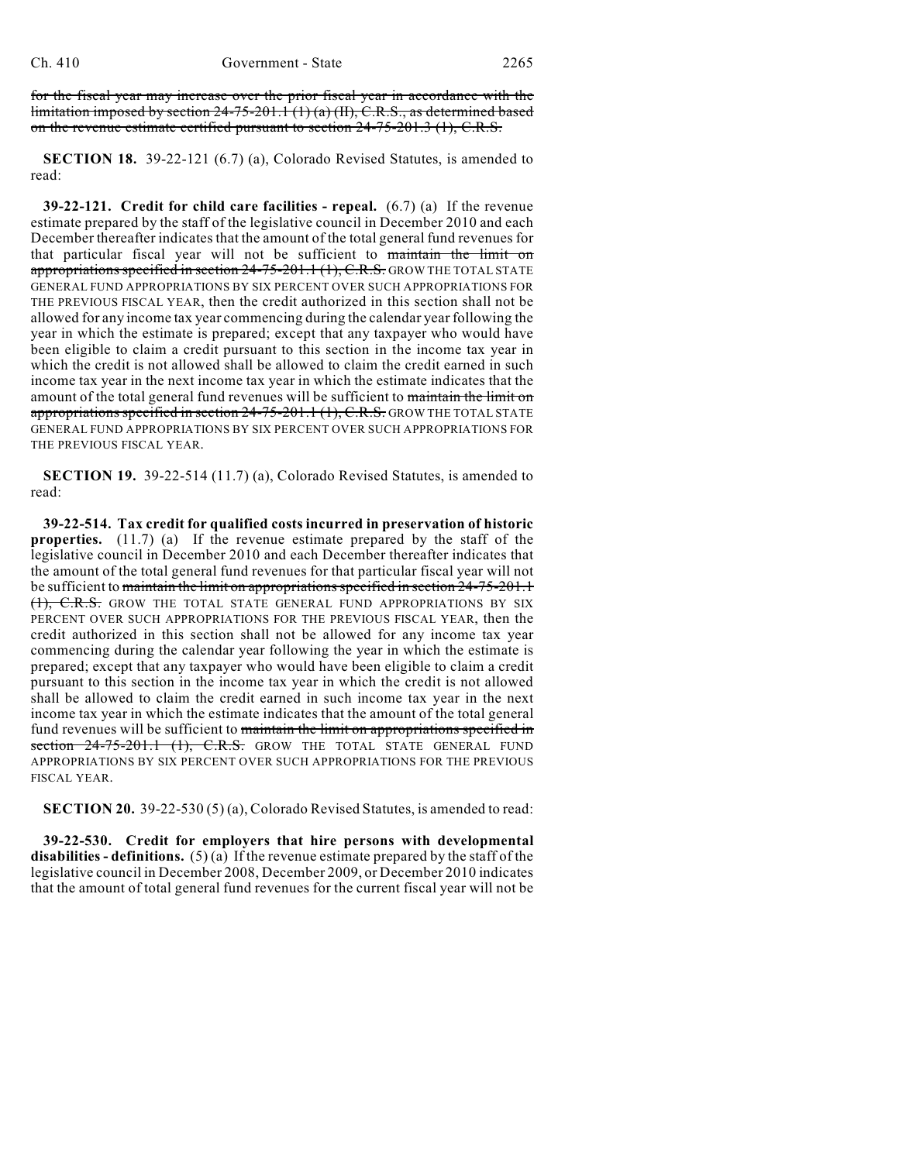for the fiscal year may increase over the prior fiscal year in accordance with the limitation imposed by section 24-75-201.1 (1) (a) (II), C.R.S., as determined based on the revenue estimate certified pursuant to section  $24-75-201.3$  (1), C.R.S.

**SECTION 18.** 39-22-121 (6.7) (a), Colorado Revised Statutes, is amended to read:

**39-22-121. Credit for child care facilities - repeal.** (6.7) (a) If the revenue estimate prepared by the staff of the legislative council in December 2010 and each December thereafter indicates that the amount of the total general fund revenues for that particular fiscal year will not be sufficient to maintain the limit on appropriations specified in section  $24-75-201.1$  (1), C.R.S. GROW THE TOTAL STATE GENERAL FUND APPROPRIATIONS BY SIX PERCENT OVER SUCH APPROPRIATIONS FOR THE PREVIOUS FISCAL YEAR, then the credit authorized in this section shall not be allowed for any income tax year commencing during the calendar year following the year in which the estimate is prepared; except that any taxpayer who would have been eligible to claim a credit pursuant to this section in the income tax year in which the credit is not allowed shall be allowed to claim the credit earned in such income tax year in the next income tax year in which the estimate indicates that the amount of the total general fund revenues will be sufficient to maintain the limit on appropriations specified in section  $24-75-201.1$  (1), C.R.S. GROW THE TOTAL STATE GENERAL FUND APPROPRIATIONS BY SIX PERCENT OVER SUCH APPROPRIATIONS FOR THE PREVIOUS FISCAL YEAR.

**SECTION 19.** 39-22-514 (11.7) (a), Colorado Revised Statutes, is amended to read:

**39-22-514. Tax credit for qualified costs incurred in preservation of historic properties.** (11.7) (a) If the revenue estimate prepared by the staff of the legislative council in December 2010 and each December thereafter indicates that the amount of the total general fund revenues for that particular fiscal year will not be sufficient to maintain the limit on appropriations specified in section 24-75-201.1 (1), C.R.S. GROW THE TOTAL STATE GENERAL FUND APPROPRIATIONS BY SIX PERCENT OVER SUCH APPROPRIATIONS FOR THE PREVIOUS FISCAL YEAR, then the credit authorized in this section shall not be allowed for any income tax year commencing during the calendar year following the year in which the estimate is prepared; except that any taxpayer who would have been eligible to claim a credit pursuant to this section in the income tax year in which the credit is not allowed shall be allowed to claim the credit earned in such income tax year in the next income tax year in which the estimate indicates that the amount of the total general fund revenues will be sufficient to maintain the limit on appropriations specified in section  $24-75-201.1$  (1), C.R.S. GROW THE TOTAL STATE GENERAL FUND APPROPRIATIONS BY SIX PERCENT OVER SUCH APPROPRIATIONS FOR THE PREVIOUS FISCAL YEAR.

**SECTION 20.** 39-22-530 (5) (a), Colorado Revised Statutes, is amended to read:

**39-22-530. Credit for employers that hire persons with developmental disabilities - definitions.** (5) (a) If the revenue estimate prepared by the staff of the legislative council in December 2008, December 2009, or December 2010 indicates that the amount of total general fund revenues for the current fiscal year will not be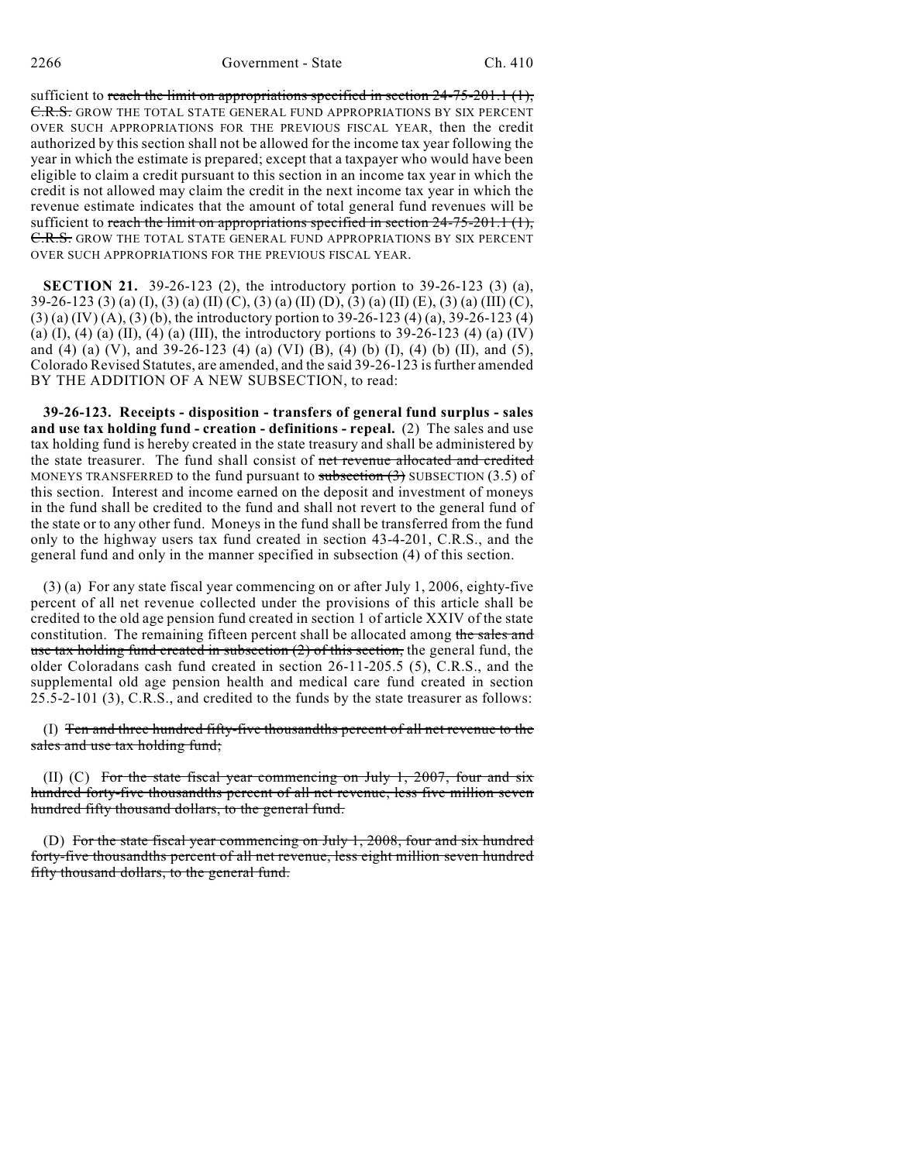# 2266 Government - State Ch. 410

sufficient to reach the limit on appropriations specified in section  $24-75-201.1$  (1), C.R.S. GROW THE TOTAL STATE GENERAL FUND APPROPRIATIONS BY SIX PERCENT OVER SUCH APPROPRIATIONS FOR THE PREVIOUS FISCAL YEAR, then the credit authorized by this section shall not be allowed for the income tax year following the year in which the estimate is prepared; except that a taxpayer who would have been eligible to claim a credit pursuant to this section in an income tax year in which the credit is not allowed may claim the credit in the next income tax year in which the revenue estimate indicates that the amount of total general fund revenues will be sufficient to reach the limit on appropriations specified in section  $24-75-201.1$  (1), C.R.S. GROW THE TOTAL STATE GENERAL FUND APPROPRIATIONS BY SIX PERCENT OVER SUCH APPROPRIATIONS FOR THE PREVIOUS FISCAL YEAR.

**SECTION 21.** 39-26-123 (2), the introductory portion to 39-26-123 (3) (a), 39-26-123 (3) (a) (I), (3) (a) (II) (C), (3) (a) (II) (D), (3) (a) (II) (E), (3) (a) (III) (C), (3) (a) (IV) (A), (3) (b), the introductory portion to 39-26-123 (4) (a), 39-26-123 (4) (a) (I), (4) (a) (II), (4) (a) (III), the introductory portions to  $39-26-123$  (4) (a) (IV) and (4) (a) (V), and 39-26-123 (4) (a) (VI) (B), (4) (b) (I), (4) (b) (II), and (5), Colorado Revised Statutes, are amended, and the said 39-26-123 is further amended BY THE ADDITION OF A NEW SUBSECTION, to read:

**39-26-123. Receipts - disposition - transfers of general fund surplus - sales and use tax holding fund - creation - definitions - repeal.** (2) The sales and use tax holding fund is hereby created in the state treasury and shall be administered by the state treasurer. The fund shall consist of net revenue allocated and credited MONEYS TRANSFERRED to the fund pursuant to subsection  $(3)$  SUBSECTION  $(3.5)$  of this section. Interest and income earned on the deposit and investment of moneys in the fund shall be credited to the fund and shall not revert to the general fund of the state or to any other fund. Moneys in the fund shall be transferred from the fund only to the highway users tax fund created in section 43-4-201, C.R.S., and the general fund and only in the manner specified in subsection (4) of this section.

(3) (a) For any state fiscal year commencing on or after July 1, 2006, eighty-five percent of all net revenue collected under the provisions of this article shall be credited to the old age pension fund created in section 1 of article XXIV of the state constitution. The remaining fifteen percent shall be allocated among the sales and use tax holding fund created in subsection  $(2)$  of this section, the general fund, the older Coloradans cash fund created in section 26-11-205.5 (5), C.R.S., and the supplemental old age pension health and medical care fund created in section 25.5-2-101 (3), C.R.S., and credited to the funds by the state treasurer as follows:

(I) Ten and three hundred fifty-five thousandths percent of all net revenue to the sales and use tax holding fund;

(II) (C) For the state fiscal year commencing on July 1, 2007, four and six hundred forty-five thousandths percent of all net revenue, less five million seven hundred fifty thousand dollars, to the general fund.

(D) For the state fiscal year commencing on July 1, 2008, four and six hundred forty-five thousandths percent of all net revenue, less eight million seven hundred fifty thousand dollars, to the general fund.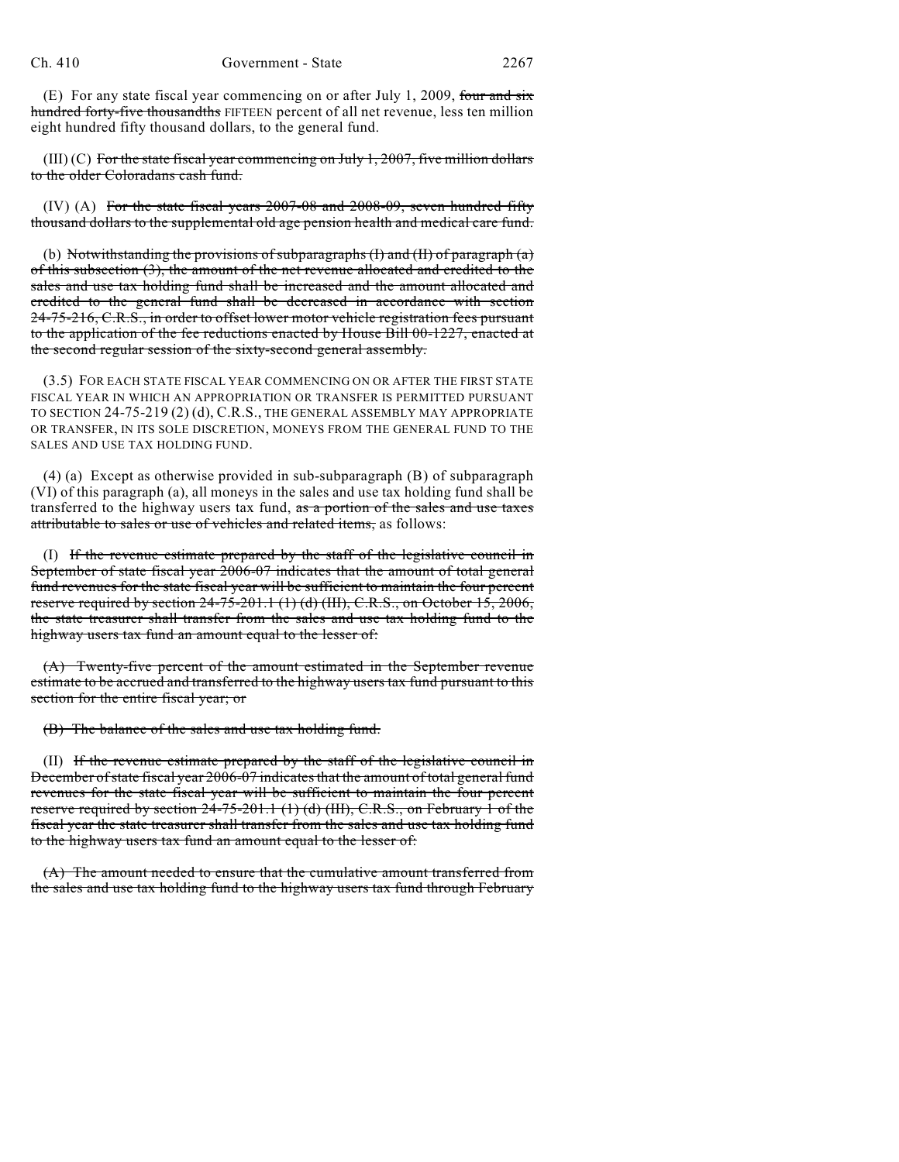(E) For any state fiscal year commencing on or after July 1, 2009, four and six hundred forty-five thousandths FIFTEEN percent of all net revenue, less ten million eight hundred fifty thousand dollars, to the general fund.

 $(III)$  (C) For the state fiscal year commencing on July 1, 2007, five million dollars to the older Coloradans cash fund.

 $(IV)$   $(A)$  For the state fiscal years 2007-08 and 2008-09, seven hundred fifty thousand dollars to the supplemental old age pension health and medical care fund.

(b) Notwithstanding the provisions of subparagraphs  $(I)$  and  $(II)$  of paragraph  $(a)$ of this subsection (3), the amount of the net revenue allocated and credited to the sales and use tax holding fund shall be increased and the amount allocated and credited to the general fund shall be decreased in accordance with section 24-75-216, C.R.S., in order to offset lower motor vehicle registration fees pursuant to the application of the fee reductions enacted by House Bill 00-1227, enacted at the second regular session of the sixty-second general assembly.

(3.5) FOR EACH STATE FISCAL YEAR COMMENCING ON OR AFTER THE FIRST STATE FISCAL YEAR IN WHICH AN APPROPRIATION OR TRANSFER IS PERMITTED PURSUANT TO SECTION 24-75-219 (2) (d), C.R.S., THE GENERAL ASSEMBLY MAY APPROPRIATE OR TRANSFER, IN ITS SOLE DISCRETION, MONEYS FROM THE GENERAL FUND TO THE SALES AND USE TAX HOLDING FUND.

(4) (a) Except as otherwise provided in sub-subparagraph (B) of subparagraph (VI) of this paragraph (a), all moneys in the sales and use tax holding fund shall be transferred to the highway users tax fund, as a portion of the sales and use taxes attributable to sales or use of vehicles and related items, as follows:

(I) If the revenue estimate prepared by the staff of the legislative council in September of state fiscal year 2006-07 indicates that the amount of total general fund revenues for the state fiscal year will be sufficient to maintain the four percent reserve required by section 24-75-201.1 (1) (d) (III), C.R.S., on October 15, 2006, the state treasurer shall transfer from the sales and use tax holding fund to the highway users tax fund an amount equal to the lesser of:

(A) Twenty-five percent of the amount estimated in the September revenue estimate to be accrued and transferred to the highway users tax fund pursuant to this section for the entire fiscal year; or

(B) The balance of the sales and use tax holding fund.

(II) If the revenue estimate prepared by the staff of the legislative council in December ofstate fiscal year 2006-07 indicatesthat the amount of total general fund revenues for the state fiscal year will be sufficient to maintain the four percent reserve required by section 24-75-201.1 (1) (d) (III), C.R.S., on February 1 of the fiscal year the state treasurer shall transfer from the sales and use tax holding fund to the highway users tax fund an amount equal to the lesser of:

(A) The amount needed to ensure that the cumulative amount transferred from the sales and use tax holding fund to the highway users tax fund through February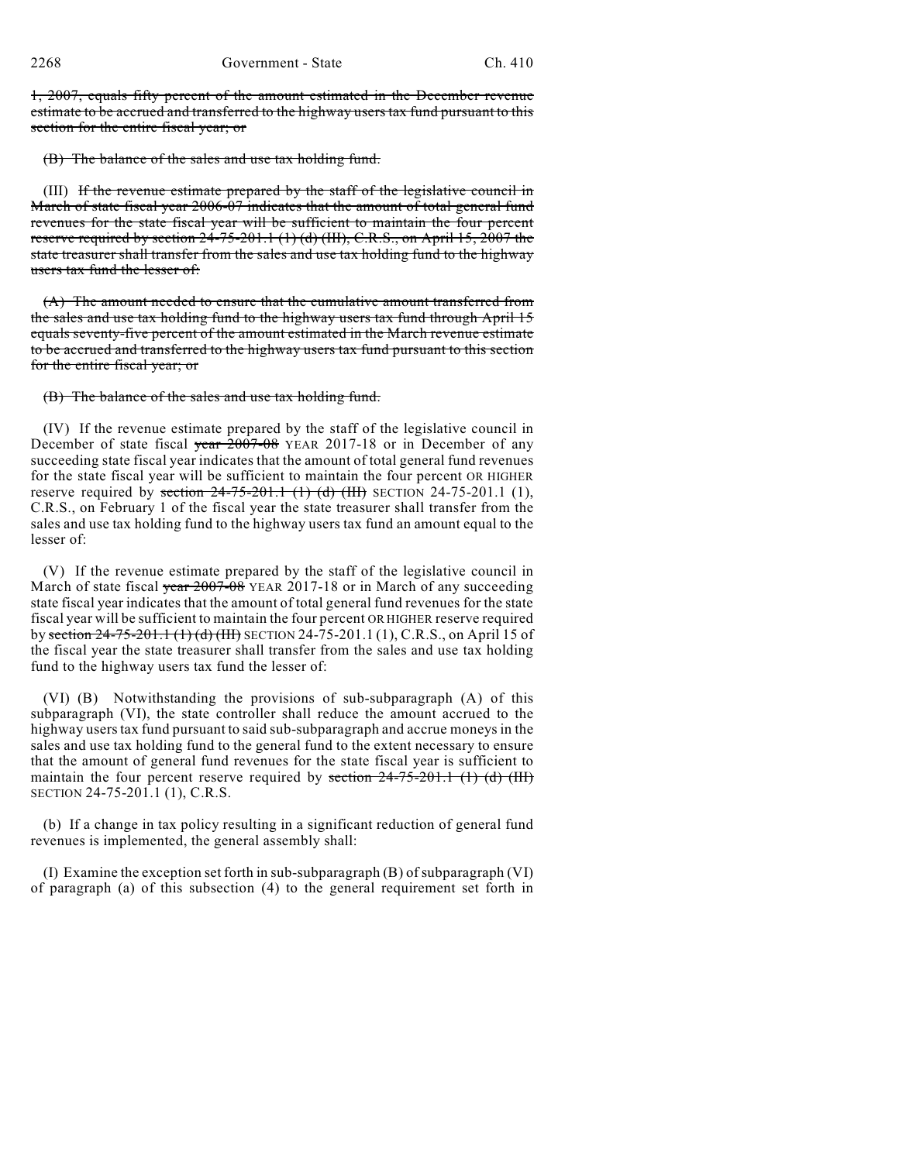1, 2007, equals fifty percent of the amount estimated in the December revenue estimate to be accrued and transferred to the highway users tax fund pursuant to this section for the entire fiscal year; or

(B) The balance of the sales and use tax holding fund.

(III) If the revenue estimate prepared by the staff of the legislative council in March of state fiscal year 2006-07 indicates that the amount of total general fund revenues for the state fiscal year will be sufficient to maintain the four percent reserve required by section 24-75-201.1 (1) (d) (III), C.R.S., on April 15, 2007 the state treasurer shall transfer from the sales and use tax holding fund to the highway users tax fund the lesser of:

(A) The amount needed to ensure that the cumulative amount transferred from the sales and use tax holding fund to the highway users tax fund through April 15 equals seventy-five percent of the amount estimated in the March revenue estimate to be accrued and transferred to the highway users tax fund pursuant to this section for the entire fiscal year; or

# (B) The balance of the sales and use tax holding fund.

(IV) If the revenue estimate prepared by the staff of the legislative council in December of state fiscal year 2007-08 YEAR 2017-18 or in December of any succeeding state fiscal year indicates that the amount of total general fund revenues for the state fiscal year will be sufficient to maintain the four percent OR HIGHER reserve required by section  $24-75-201.1$  (1) (d) (III) SECTION 24-75-201.1 (1), C.R.S., on February 1 of the fiscal year the state treasurer shall transfer from the sales and use tax holding fund to the highway users tax fund an amount equal to the lesser of:

(V) If the revenue estimate prepared by the staff of the legislative council in March of state fiscal year 2007-08 YEAR 2017-18 or in March of any succeeding state fiscal year indicates that the amount of total general fund revenues for the state fiscal year will be sufficient to maintain the four percent OR HIGHER reserve required by section 24-75-201.1 (1) (d) (III) SECTION 24-75-201.1 (1), C.R.S., on April 15 of the fiscal year the state treasurer shall transfer from the sales and use tax holding fund to the highway users tax fund the lesser of:

(VI) (B) Notwithstanding the provisions of sub-subparagraph (A) of this subparagraph (VI), the state controller shall reduce the amount accrued to the highway users tax fund pursuant to said sub-subparagraph and accrue moneys in the sales and use tax holding fund to the general fund to the extent necessary to ensure that the amount of general fund revenues for the state fiscal year is sufficient to maintain the four percent reserve required by section  $24-75-201.1$  (1) (d) (III) SECTION 24-75-201.1 (1), C.R.S.

(b) If a change in tax policy resulting in a significant reduction of general fund revenues is implemented, the general assembly shall:

(I) Examine the exception set forth in sub-subparagraph (B) of subparagraph (VI) of paragraph (a) of this subsection (4) to the general requirement set forth in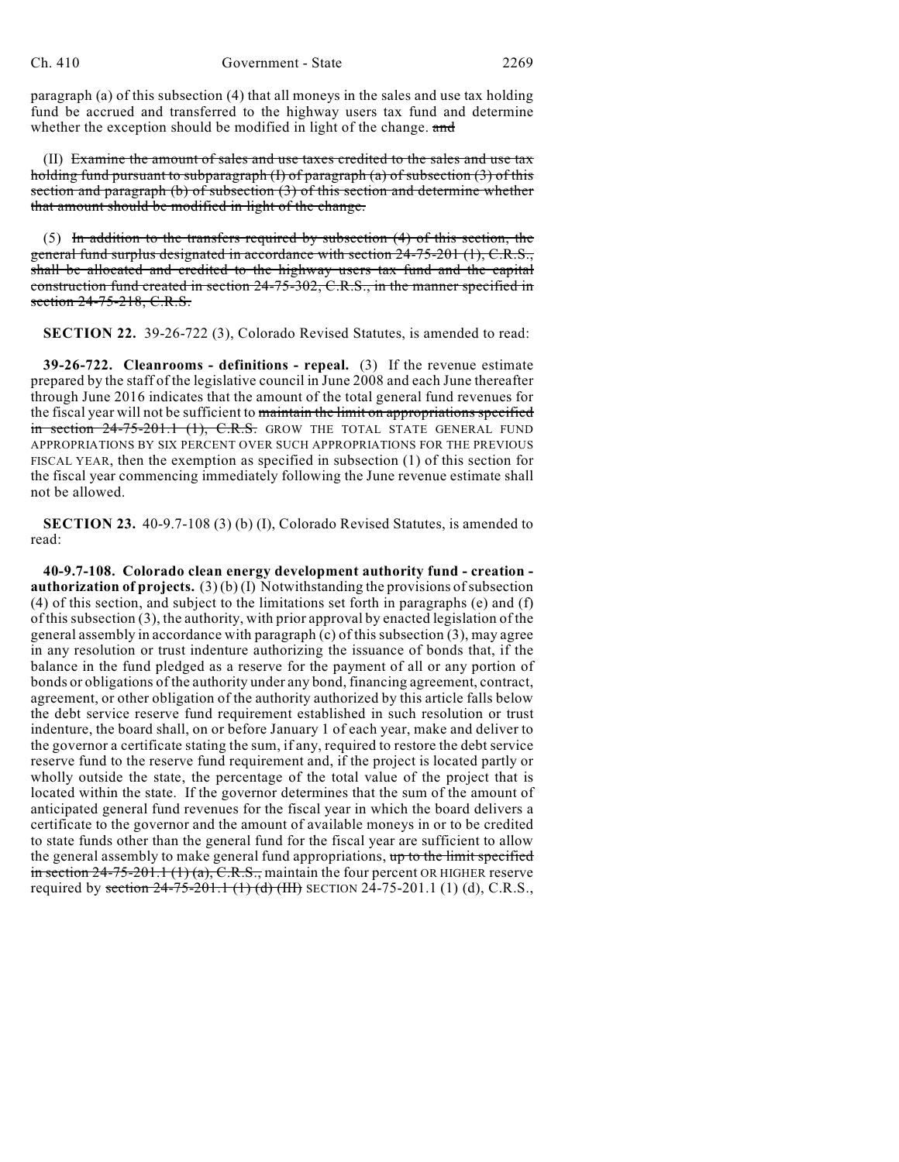paragraph (a) of this subsection (4) that all moneys in the sales and use tax holding fund be accrued and transferred to the highway users tax fund and determine whether the exception should be modified in light of the change. and

(II) Examine the amount of sales and use taxes credited to the sales and use tax holding fund pursuant to subparagraph (I) of paragraph (a) of subsection (3) of this section and paragraph (b) of subsection (3) of this section and determine whether that amount should be modified in light of the change.

(5) In addition to the transfers required by subsection (4) of this section, the general fund surplus designated in accordance with section 24-75-201 (1), C.R.S., shall be allocated and credited to the highway users tax fund and the capital construction fund created in section 24-75-302, C.R.S., in the manner specified in section 24-75-218, C.R.S.

**SECTION 22.** 39-26-722 (3), Colorado Revised Statutes, is amended to read:

**39-26-722. Cleanrooms - definitions - repeal.** (3) If the revenue estimate prepared by the staff of the legislative council in June 2008 and each June thereafter through June 2016 indicates that the amount of the total general fund revenues for the fiscal year will not be sufficient to maintain the limit on appropriations specified in section 24-75-201.1 (1), C.R.S. GROW THE TOTAL STATE GENERAL FUND APPROPRIATIONS BY SIX PERCENT OVER SUCH APPROPRIATIONS FOR THE PREVIOUS FISCAL YEAR, then the exemption as specified in subsection (1) of this section for the fiscal year commencing immediately following the June revenue estimate shall not be allowed.

**SECTION 23.** 40-9.7-108 (3) (b) (I), Colorado Revised Statutes, is amended to read:

**40-9.7-108. Colorado clean energy development authority fund - creation authorization of projects.** (3) (b) (I) Notwithstanding the provisions of subsection (4) of this section, and subject to the limitations set forth in paragraphs (e) and (f) of this subsection (3), the authority, with prior approval by enacted legislation of the general assembly in accordance with paragraph (c) of this subsection (3), may agree in any resolution or trust indenture authorizing the issuance of bonds that, if the balance in the fund pledged as a reserve for the payment of all or any portion of bonds or obligations of the authority under any bond, financing agreement, contract, agreement, or other obligation of the authority authorized by this article falls below the debt service reserve fund requirement established in such resolution or trust indenture, the board shall, on or before January 1 of each year, make and deliver to the governor a certificate stating the sum, if any, required to restore the debt service reserve fund to the reserve fund requirement and, if the project is located partly or wholly outside the state, the percentage of the total value of the project that is located within the state. If the governor determines that the sum of the amount of anticipated general fund revenues for the fiscal year in which the board delivers a certificate to the governor and the amount of available moneys in or to be credited to state funds other than the general fund for the fiscal year are sufficient to allow the general assembly to make general fund appropriations,  $up$  to the limit specified in section  $24-75-201.1$  (1) (a), C.R.S., maintain the four percent OR HIGHER reserve required by section  $24-75-201.1$  (1) (d) (III) SECTION 24-75-201.1 (1) (d), C.R.S.,